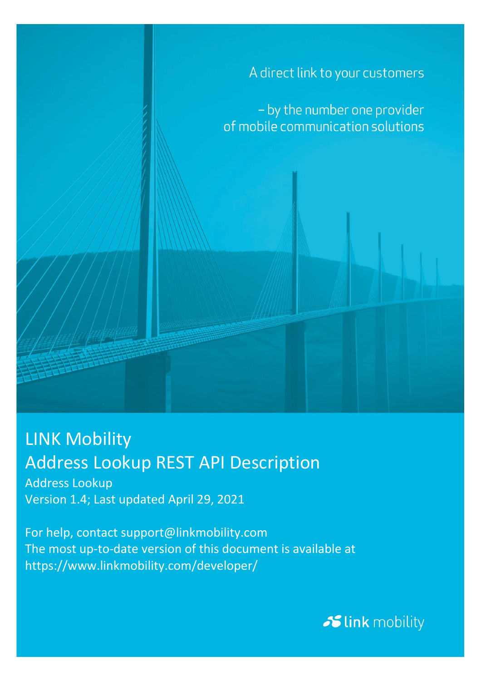

## LINK Mobility Address Lookup REST API Description

Address Lookup Version 1.4; Last updated April 29, 2021

For help, contact support@linkmobility.com The most up-to-date version of this document is available at https://www.linkmobility.com/developer/

Slink mobility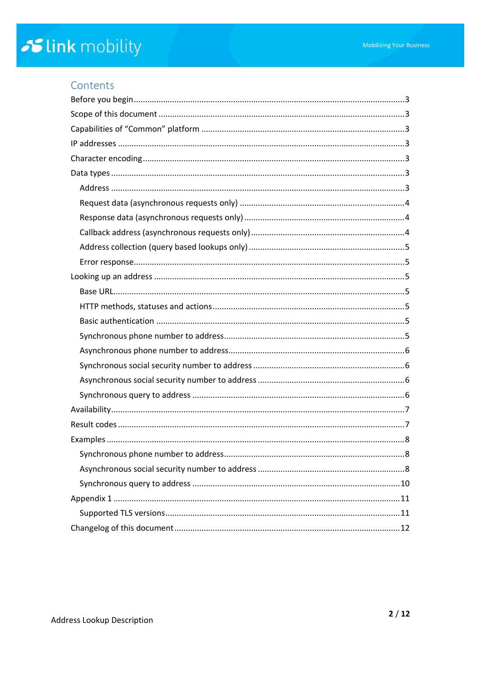## Contents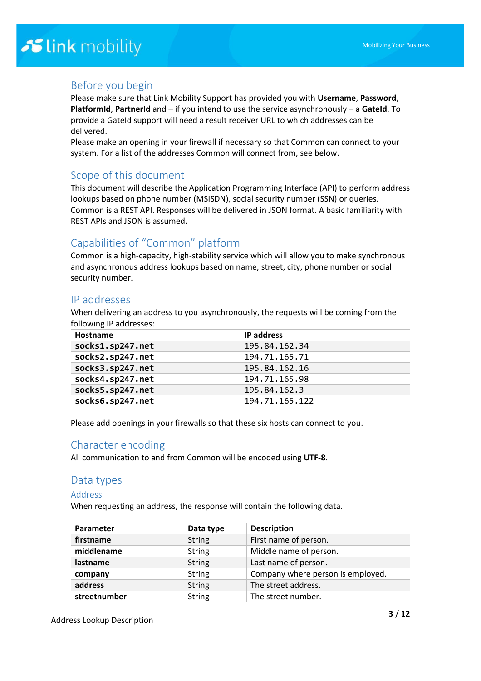### Before you begin

Please make sure that Link Mobility Support has provided you with **Username**, **Password**, **PlatformId, PartnerId** and – if you intend to use the service asynchronously – a GateId. To provide a GateId support will need a result receiver URL to which addresses can be delivered.

Please make an opening in your firewall if necessary so that Common can connect to your system. For a list of the addresses Common will connect from, see below.

## Scope of this document

This document will describe the Application Programming Interface (API) to perform address lookups based on phone number (MSISDN), social security number (SSN) or queries. Common is a REST API. Responses will be delivered in JSON format. A basic familiarity with REST APIs and JSON is assumed.

## Capabilities of "Common" platform

Common is a high-capacity, high-stability service which will allow you to make synchronous and asynchronous address lookups based on name, street, city, phone number or social security number.

### IP addresses

When delivering an address to you asynchronously, the requests will be coming from the following IP addresses:

| Hostname         | <b>IP address</b> |
|------------------|-------------------|
| socks1.sp247.net | 195.84.162.34     |
| socks2.sp247.net | 194.71.165.71     |
| socks3.sp247.net | 195.84.162.16     |
| socks4.sp247.net | 194.71.165.98     |
| socks5.sp247.net | 195.84.162.3      |
| socks6.sp247.net | 194.71.165.122    |

Please add openings in your firewalls so that these six hosts can connect to you.

### Character encoding

All communication to and from Common will be encoded using **UTF-8**.

#### Data types

#### Address

When requesting an address, the response will contain the following data.

| Parameter    | Data type     | <b>Description</b>                |
|--------------|---------------|-----------------------------------|
| firstname    | <b>String</b> | First name of person.             |
| middlename   | <b>String</b> | Middle name of person.            |
| lastname     | <b>String</b> | Last name of person.              |
| company      | <b>String</b> | Company where person is employed. |
| address      | <b>String</b> | The street address.               |
| streetnumber | <b>String</b> | The street number.                |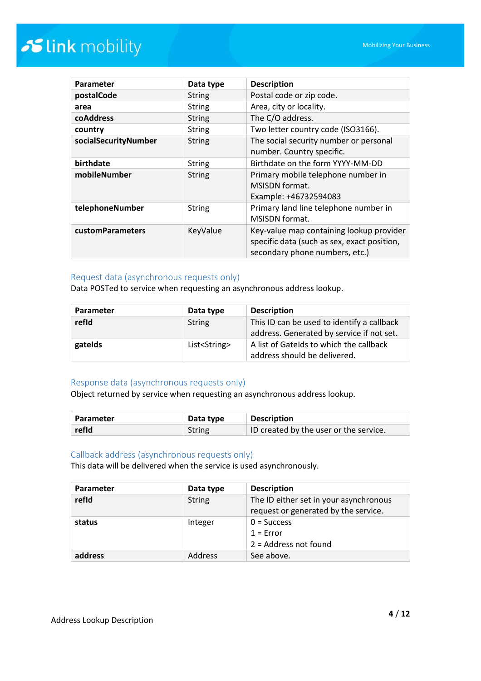| Parameter               | Data type     | <b>Description</b>                                                                                                        |
|-------------------------|---------------|---------------------------------------------------------------------------------------------------------------------------|
| postalCode              | <b>String</b> | Postal code or zip code.                                                                                                  |
| area                    | <b>String</b> | Area, city or locality.                                                                                                   |
| coAddress               | <b>String</b> | The C/O address.                                                                                                          |
| country                 | <b>String</b> | Two letter country code (ISO3166).                                                                                        |
| socialSecurityNumber    | <b>String</b> | The social security number or personal<br>number. Country specific.                                                       |
| birthdate               | <b>String</b> | Birthdate on the form YYYY-MM-DD                                                                                          |
| mobileNumber            | <b>String</b> | Primary mobile telephone number in<br><b>MSISDN</b> format.<br>Example: +46732594083                                      |
| telephoneNumber         | <b>String</b> | Primary land line telephone number in<br><b>MSISDN</b> format.                                                            |
| <b>customParameters</b> | KeyValue      | Key-value map containing lookup provider<br>specific data (such as sex, exact position,<br>secondary phone numbers, etc.) |

#### Request data (asynchronous requests only)

Data POSTed to service when requesting an asynchronous address lookup.

| Parameter | Data type              | <b>Description</b>                                                                      |
|-----------|------------------------|-----------------------------------------------------------------------------------------|
| refid     | <b>String</b>          | This ID can be used to identify a callback<br>address. Generated by service if not set. |
| gatelds   | List <string></string> | A list of Gatelds to which the callback<br>address should be delivered.                 |

#### Response data (asynchronous requests only)

Object returned by service when requesting an asynchronous address lookup.

| Parameter | Data type | <b>Description</b>                     |
|-----------|-----------|----------------------------------------|
| refId     | String    | ID created by the user or the service. |

#### Callback address (asynchronous requests only)

This data will be delivered when the service is used asynchronously.

| Parameter | Data type     | <b>Description</b>                                                             |
|-----------|---------------|--------------------------------------------------------------------------------|
| refid     | <b>String</b> | The ID either set in your asynchronous<br>request or generated by the service. |
| status    | Integer       | $0 =$ Success<br>$1 = Error$<br>$2$ = Address not found                        |
| address   | Address       | See above.                                                                     |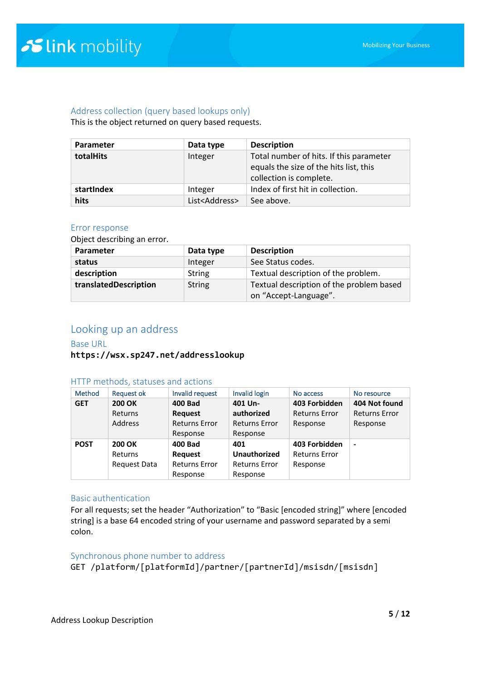#### Address collection (query based lookups only)

This is the object returned on query based requests.

| <b>Parameter</b> | Data type                | <b>Description</b>                                                                                           |
|------------------|--------------------------|--------------------------------------------------------------------------------------------------------------|
| totalHits        | Integer                  | Total number of hits. If this parameter<br>equals the size of the hits list, this<br>collection is complete. |
| startIndex       | Integer                  | Index of first hit in collection.                                                                            |
| hits             | List <address></address> | See above.                                                                                                   |

#### Error response

Object describing an error.

| Parameter             | Data type     | <b>Description</b>                       |
|-----------------------|---------------|------------------------------------------|
| status                | Integer       | See Status codes.                        |
| description           | <b>String</b> | Textual description of the problem.      |
| translatedDescription | <b>String</b> | Textual description of the problem based |
|                       |               | on "Accept-Language".                    |

### Looking up an address

#### Base URL

#### **https://wsx.sp247.net/addresslookup**

#### HTTP methods, statuses and actions

| <b>Method</b> | <b>Request ok</b>   | Invalid request      | Invalid login        | No access            | No resource          |
|---------------|---------------------|----------------------|----------------------|----------------------|----------------------|
| <b>GET</b>    | <b>200 OK</b>       | <b>400 Bad</b>       | 401 Un-              | 403 Forbidden        | 404 Not found        |
|               | Returns             | <b>Request</b>       | authorized           | <b>Returns Error</b> | <b>Returns Error</b> |
|               | <b>Address</b>      | <b>Returns Error</b> | <b>Returns Error</b> | Response             | Response             |
|               |                     | Response             | Response             |                      |                      |
| <b>POST</b>   | <b>200 OK</b>       | <b>400 Bad</b>       | 401                  | 403 Forbidden        | $\blacksquare$       |
|               | Returns             | <b>Request</b>       | <b>Unauthorized</b>  | <b>Returns Error</b> |                      |
|               | <b>Request Data</b> | <b>Returns Error</b> | <b>Returns Error</b> | Response             |                      |
|               |                     | Response             | Response             |                      |                      |

#### Basic authentication

For all requests; set the header "Authorization" to "Basic [encoded string]" where [encoded string] is a base 64 encoded string of your username and password separated by a semi colon.

#### Synchronous phone number to address

GET /platform/[platformId]/partner/[partnerId]/msisdn/[msisdn]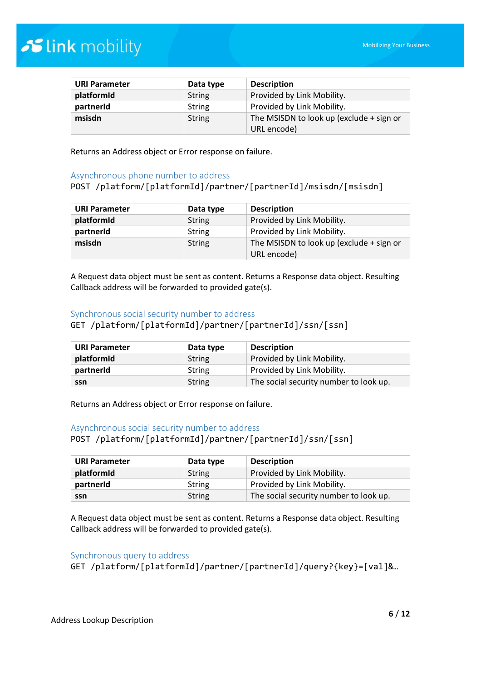| <b>URI Parameter</b> | Data type     | <b>Description</b>                       |
|----------------------|---------------|------------------------------------------|
| platformId           | <b>String</b> | Provided by Link Mobility.               |
| partnerId            | <b>String</b> | Provided by Link Mobility.               |
| msisdn               | <b>String</b> | The MSISDN to look up (exclude + sign or |
|                      |               | URL encode)                              |

Returns an Address object or Error response on failure.

#### Asynchronous phone number to address

#### POST /platform/[platformId]/partner/[partnerId]/msisdn/[msisdn]

| <b>URI Parameter</b> | Data type     | <b>Description</b>                       |
|----------------------|---------------|------------------------------------------|
| platformId           | <b>String</b> | Provided by Link Mobility.               |
| partnerId            | <b>String</b> | Provided by Link Mobility.               |
| msisdn               | <b>String</b> | The MSISDN to look up (exclude + sign or |
|                      |               | URL encode)                              |

A Request data object must be sent as content. Returns a Response data object. Resulting Callback address will be forwarded to provided gate(s).

#### Synchronous social security number to address

GET /platform/[platformId]/partner/[partnerId]/ssn/[ssn]

| <b>URI Parameter</b> | Data type     | <b>Description</b>                     |
|----------------------|---------------|----------------------------------------|
| platformid           | String        | Provided by Link Mobility.             |
| partnerId            | String        | Provided by Link Mobility.             |
| ssn                  | <b>String</b> | The social security number to look up. |

Returns an Address object or Error response on failure.

#### Asynchronous social security number to address

POST /platform/[platformId]/partner/[partnerId]/ssn/[ssn]

| <b>URI Parameter</b> | Data type | <b>Description</b>                     |
|----------------------|-----------|----------------------------------------|
| platformId           | String    | Provided by Link Mobility.             |
| partnerid            | String    | Provided by Link Mobility.             |
| ssn                  | String    | The social security number to look up. |

A Request data object must be sent as content. Returns a Response data object. Resulting Callback address will be forwarded to provided gate(s).

#### Synchronous query to address

GET /platform/[platformId]/partner/[partnerId]/query?{key}=[val]&…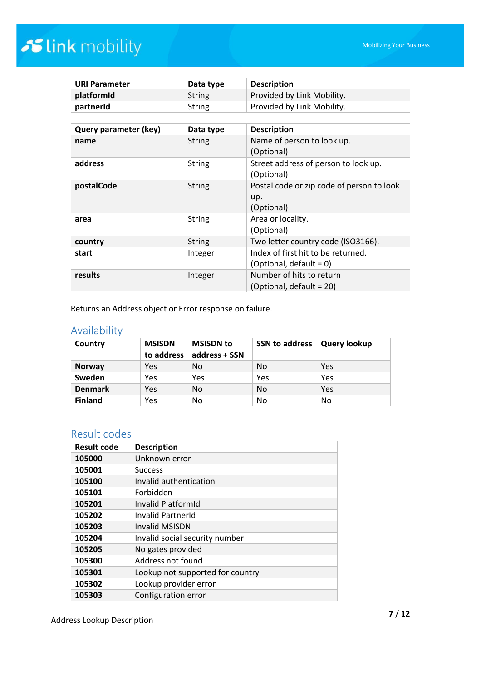| <b>URI Parameter</b>  | Data type     | <b>Description</b>                        |
|-----------------------|---------------|-------------------------------------------|
| platformId            | <b>String</b> | Provided by Link Mobility.                |
| partnerId             | <b>String</b> | Provided by Link Mobility.                |
|                       |               |                                           |
| Query parameter (key) | Data type     | <b>Description</b>                        |
| name                  | <b>String</b> | Name of person to look up.                |
|                       |               | (Optional)                                |
| address               | <b>String</b> | Street address of person to look up.      |
|                       |               | (Optional)                                |
| postalCode            | <b>String</b> | Postal code or zip code of person to look |
|                       |               | up.                                       |
|                       |               | (Optional)                                |
| area                  | <b>String</b> | Area or locality.                         |
|                       |               | (Optional)                                |
| country               | <b>String</b> | Two letter country code (ISO3166).        |
| start                 | Integer       | Index of first hit to be returned.        |
|                       |               | (Optional, default = $0$ )                |
| results               | Integer       | Number of hits to return                  |
|                       |               | (Optional, default = 20)                  |

Returns an Address object or Error response on failure.

## Availability

| Country        | <b>MSISDN</b><br>to address | <b>MSISDN</b> to<br>address + SSN | <b>SSN to address</b> | <b>Query lookup</b> |
|----------------|-----------------------------|-----------------------------------|-----------------------|---------------------|
| <b>Norway</b>  | Yes                         | No                                | No                    | Yes                 |
| Sweden         | Yes                         | Yes                               | Yes                   | Yes                 |
| <b>Denmark</b> | Yes                         | No                                | No                    | Yes                 |
| <b>Finland</b> | Yes                         | No                                | No                    | No                  |

## Result codes

| <b>Result code</b> | <b>Description</b>               |
|--------------------|----------------------------------|
| 105000             | Unknown error                    |
| 105001             | <b>Success</b>                   |
| 105100             | Invalid authentication           |
| 105101             | Forbidden                        |
| 105201             | Invalid PlatformId               |
| 105202             | Invalid PartnerId                |
| 105203             | <b>Invalid MSISDN</b>            |
| 105204             | Invalid social security number   |
| 105205             | No gates provided                |
| 105300             | Address not found                |
| 105301             | Lookup not supported for country |
| 105302             | Lookup provider error            |
| 105303             | Configuration error              |

Address Lookup Description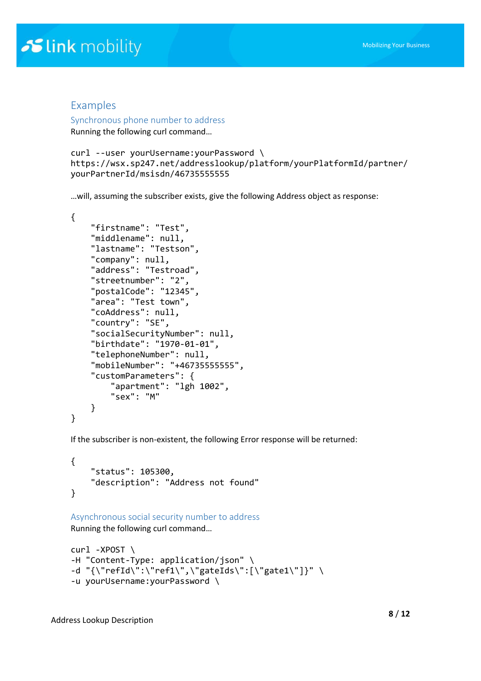### Examples

Synchronous phone number to address

Running the following curl command…

```
curl --user yourUsername:yourPassword \
https://wsx.sp247.net/addresslookup/platform/yourPlatformId/partner/
yourPartnerId/msisdn/46735555555
```
…will, assuming the subscriber exists, give the following Address object as response:

```
{
     "firstname": "Test",
     "middlename": null,
     "lastname": "Testson",
     "company": null,
     "address": "Testroad",
     "streetnumber": "2",
     "postalCode": "12345",
     "area": "Test town",
     "coAddress": null,
     "country": "SE",
     "socialSecurityNumber": null,
     "birthdate": "1970-01-01",
     "telephoneNumber": null,
     "mobileNumber": "+46735555555",
     "customParameters": {
         "apartment": "lgh 1002",
         "sex": "M"
     }
}
```
If the subscriber is non-existent, the following Error response will be returned:

```
{
     "status": 105300,
     "description": "Address not found"
}
```

```
Asynchronous social security number to address
Running the following curl command…
```

```
curl -XPOST \
-H "Content-Type: application/json" \
-d "{\"refId\":\"ref1\",\"gateIds\":[\"gate1\"]}" \
-u yourUsername:yourPassword \
```
Address Lookup Description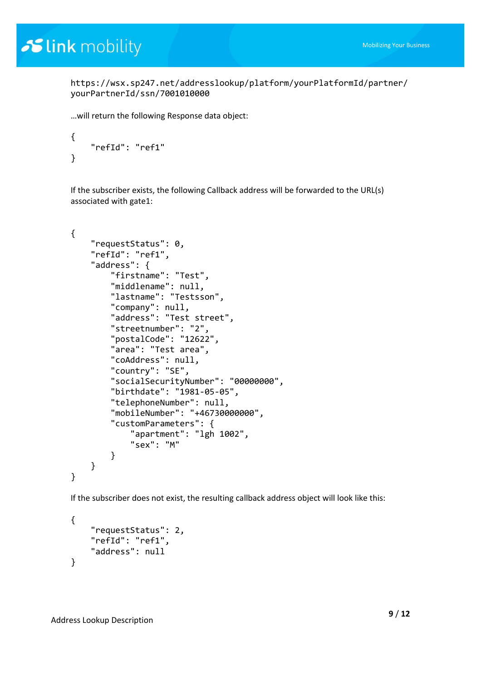https://wsx.sp247.net/addresslookup/platform/yourPlatformId/partner/ yourPartnerId/ssn/7001010000

…will return the following Response data object:

```
{
     "refId": "ref1"
}
```
If the subscriber exists, the following Callback address will be forwarded to the URL(s) associated with gate1:

```
{
     "requestStatus": 0,
     "refId": "ref1",
     "address": {
         "firstname": "Test",
         "middlename": null,
         "lastname": "Testsson",
         "company": null,
         "address": "Test street",
         "streetnumber": "2",
         "postalCode": "12622",
         "area": "Test area",
         "coAddress": null,
         "country": "SE",
         "socialSecurityNumber": "00000000",
         "birthdate": "1981-05-05",
         "telephoneNumber": null,
         "mobileNumber": "+46730000000",
         "customParameters": {
              "apartment": "lgh 1002",
              "sex": "M"
         }
     }
}
```
If the subscriber does not exist, the resulting callback address object will look like this:

```
{
     "requestStatus": 2,
     "refId": "ref1",
     "address": null
}
```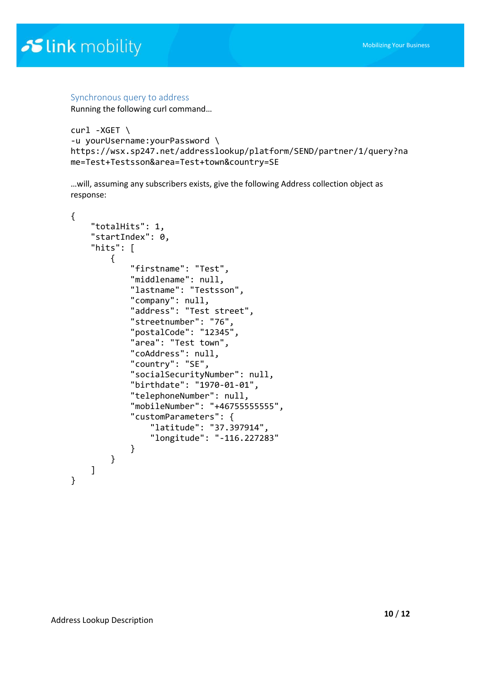#### Synchronous query to address

Running the following curl command…

```
curl -XGET \
-u yourUsername:yourPassword \
https://wsx.sp247.net/addresslookup/platform/SEND/partner/1/query?na
me=Test+Testsson&area=Test+town&country=SE
```
…will, assuming any subscribers exists, give the following Address collection object as response:

```
{
     "totalHits": 1,
     "startIndex": 0,
     "hits": [
         {
             "firstname": "Test",
             "middlename": null,
             "lastname": "Testsson",
             "company": null,
             "address": "Test street",
 "streetnumber": "76",
 "postalCode": "12345",
             "area": "Test town",
             "coAddress": null,
             "country": "SE",
             "socialSecurityNumber": null,
             "birthdate": "1970-01-01",
             "telephoneNumber": null,
             "mobileNumber": "+46755555555",
             "customParameters": {
                 "latitude": "37.397914",
                 "longitude": "-116.227283"
 }
         }
    ]
}
```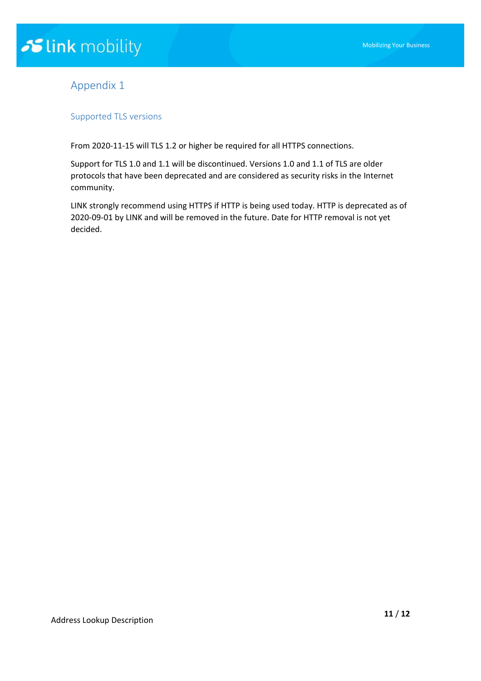## Appendix 1

#### Supported TLS versions

From 2020-11-15 will TLS 1.2 or higher be required for all HTTPS connections.

Support for TLS 1.0 and 1.1 will be discontinued. Versions 1.0 and 1.1 of TLS are older protocols that have been deprecated and are considered as security risks in the Internet community.

LINK strongly recommend using HTTPS if HTTP is being used today. HTTP is deprecated as of 2020-09-01 by LINK and will be removed in the future. Date for HTTP removal is not yet decided.